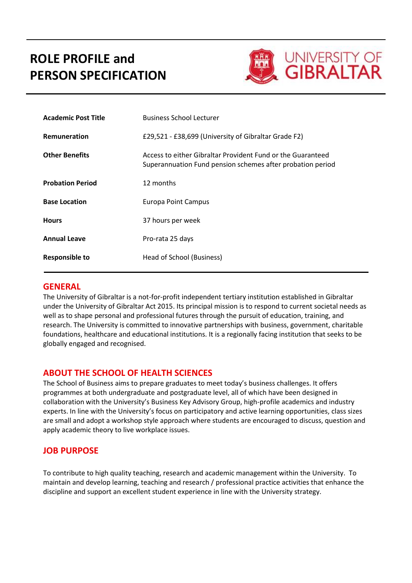# **ROLE PROFILE and PERSON SPECIFICATION**



| <b>Academic Post Title</b> | <b>Business School Lecturer</b>                                                                                           |
|----------------------------|---------------------------------------------------------------------------------------------------------------------------|
| Remuneration               | £29,521 - £38,699 (University of Gibraltar Grade F2)                                                                      |
| <b>Other Benefits</b>      | Access to either Gibraltar Provident Fund or the Guaranteed<br>Superannuation Fund pension schemes after probation period |
| <b>Probation Period</b>    | 12 months                                                                                                                 |
| <b>Base Location</b>       | Europa Point Campus                                                                                                       |
| <b>Hours</b>               | 37 hours per week                                                                                                         |
| <b>Annual Leave</b>        | Pro-rata 25 days                                                                                                          |
| Responsible to             | Head of School (Business)                                                                                                 |

### **GENERAL**

The University of Gibraltar is a not-for-profit independent tertiary institution established in Gibraltar under the University of Gibraltar Act 2015. Its principal mission is to respond to current societal needs as well as to shape personal and professional futures through the pursuit of education, training, and research. The University is committed to innovative partnerships with business, government, charitable foundations, healthcare and educational institutions. It is a regionally facing institution that seeks to be globally engaged and recognised.

# **ABOUT THE SCHOOL OF HEALTH SCIENCES**

The School of Business aims to prepare graduates to meet today's business challenges. It offers programmes at both undergraduate and postgraduate level, all of which have been designed in collaboration with the University's Business Key Advisory Group, high-profile academics and industry experts. In line with the University's focus on participatory and active learning opportunities, class sizes are small and adopt a workshop style approach where students are encouraged to discuss, question and apply academic theory to live workplace issues.

# **JOB PURPOSE**

To contribute to high quality teaching, research and academic management within the University. To maintain and develop learning, teaching and research / professional practice activities that enhance the discipline and support an excellent student experience in line with the University strategy.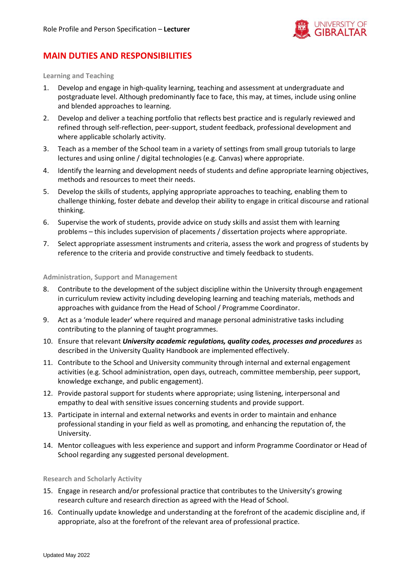

# **MAIN DUTIES AND RESPONSIBILITIES**

**Learning and Teaching**

- 1. Develop and engage in high-quality learning, teaching and assessment at undergraduate and postgraduate level. Although predominantly face to face, this may, at times, include using online and blended approaches to learning.
- 2. Develop and deliver a teaching portfolio that reflects best practice and is regularly reviewed and refined through self-reflection, peer-support, student feedback, professional development and where applicable scholarly activity.
- 3. Teach as a member of the School team in a variety of settings from small group tutorials to large lectures and using online / digital technologies (e.g. Canvas) where appropriate.
- 4. Identify the learning and development needs of students and define appropriate learning objectives, methods and resources to meet their needs.
- 5. Develop the skills of students, applying appropriate approaches to teaching, enabling them to challenge thinking, foster debate and develop their ability to engage in critical discourse and rational thinking.
- 6. Supervise the work of students, provide advice on study skills and assist them with learning problems – this includes supervision of placements / dissertation projects where appropriate.
- 7. Select appropriate assessment instruments and criteria, assess the work and progress of students by reference to the criteria and provide constructive and timely feedback to students.

**Administration, Support and Management**

- 8. Contribute to the development of the subject discipline within the University through engagement in curriculum review activity including developing learning and teaching materials, methods and approaches with guidance from the Head of School / Programme Coordinator.
- 9. Act as a 'module leader' where required and manage personal administrative tasks including contributing to the planning of taught programmes.
- 10. Ensure that relevant *University academic regulations, quality codes, processes and procedures* as described in the University Quality Handbook are implemented effectively.
- 11. Contribute to the School and University community through internal and external engagement activities (e.g. School administration, open days, outreach, committee membership, peer support, knowledge exchange, and public engagement).
- 12. Provide pastoral support for students where appropriate; using listening, interpersonal and empathy to deal with sensitive issues concerning students and provide support.
- 13. Participate in internal and external networks and events in order to maintain and enhance professional standing in your field as well as promoting, and enhancing the reputation of, the University.
- 14. Mentor colleagues with less experience and support and inform Programme Coordinator or Head of School regarding any suggested personal development.

#### **Research and Scholarly Activity**

- 15. Engage in research and/or professional practice that contributes to the University's growing research culture and research direction as agreed with the Head of School.
- 16. Continually update knowledge and understanding at the forefront of the academic discipline and, if appropriate, also at the forefront of the relevant area of professional practice.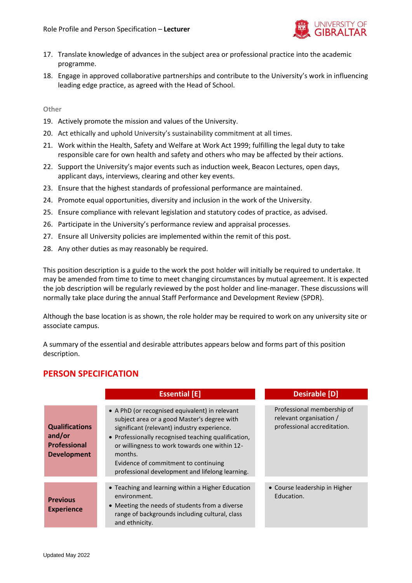

- 17. Translate knowledge of advances in the subject area or professional practice into the academic programme.
- 18. Engage in approved collaborative partnerships and contribute to the University's work in influencing leading edge practice, as agreed with the Head of School.

#### **Other**

- 19. Actively promote the mission and values of the University.
- 20. Act ethically and uphold University's sustainability commitment at all times.
- 21. Work within the Health, Safety and Welfare at Work Act 1999; fulfilling the legal duty to take responsible care for own health and safety and others who may be affected by their actions.
- 22. Support the University's major events such as induction week, Beacon Lectures, open days, applicant days, interviews, clearing and other key events.
- 23. Ensure that the highest standards of professional performance are maintained.
- 24. Promote equal opportunities, diversity and inclusion in the work of the University.
- 25. Ensure compliance with relevant legislation and statutory codes of practice, as advised.
- 26. Participate in the University's performance review and appraisal processes.
- 27. Ensure all University policies are implemented within the remit of this post.
- 28. Any other duties as may reasonably be required.

This position description is a guide to the work the post holder will initially be required to undertake. It may be amended from time to time to meet changing circumstances by mutual agreement. It is expected the job description will be regularly reviewed by the post holder and line-manager. These discussions will normally take place during the annual Staff Performance and Development Review (SPDR).

Although the base location is as shown, the role holder may be required to work on any university site or associate campus.

A summary of the essential and desirable attributes appears below and forms part of this position description.

### **PERSON SPECIFICATION**

|                                                                              | <b>Essential [E]</b>                                                                                                                                                                                                                                                                                                                                       | <b>Desirable [D]</b>                                                                 |
|------------------------------------------------------------------------------|------------------------------------------------------------------------------------------------------------------------------------------------------------------------------------------------------------------------------------------------------------------------------------------------------------------------------------------------------------|--------------------------------------------------------------------------------------|
| <b>Qualifications</b><br>and/or<br><b>Professional</b><br><b>Development</b> | • A PhD (or recognised equivalent) in relevant<br>subject area or a good Master's degree with<br>significant (relevant) industry experience.<br>• Professionally recognised teaching qualification,<br>or willingness to work towards one within 12-<br>months.<br>Evidence of commitment to continuing<br>professional development and lifelong learning. | Professional membership of<br>relevant organisation /<br>professional accreditation. |
| <b>Previous</b><br><b>Experience</b>                                         | • Teaching and learning within a Higher Education<br>environment.<br>• Meeting the needs of students from a diverse<br>range of backgrounds including cultural, class<br>and ethnicity.                                                                                                                                                                    | • Course leadership in Higher<br>Education.                                          |